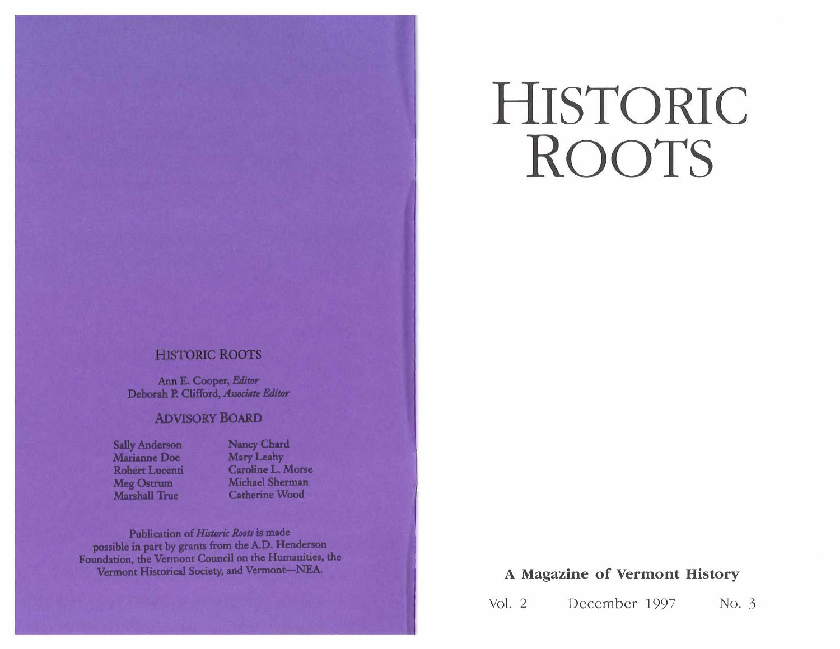# **HISTORIC ROOTS**

## **HISTORIC ROOTS**

Ann E. Cooper, Editor Deborah P. Clifford, Associate Editor

#### **ADVISORY BOARD**

**Sally Anderson** Marianne Doe **Robert Lucenti Meg Ostrum Marshall True** 

**Nancy Chard** Mary Leahy Caroline L. Morse Michael Sherman **Catherine Wood** 

Publication of Historic Roots is made possible in part by grants from the A.D. Henderson Foundation, the Vermont Council on the Humanities, the Vermont Historical Society, and Vermont-NEA.

### **A Magazine of Vermont History**

Vol. 2 December 1997 No. 3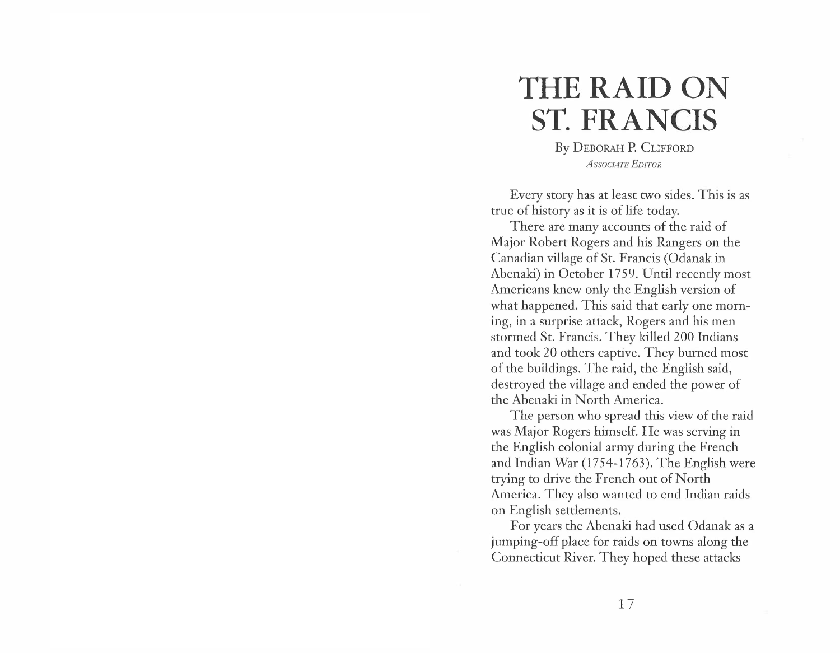# **T HE R A ID ON ST. FRANCIS**

By D E B ORAH P. CLIF F ORD *A SS O CIA TE EDITOR* 

Every story has at least two sides. This is as true of history as it is of life toda

e of history as it is of life today.<br>There are many accounts of the raid of Major Robert Rogers and his Rangers on the Canadian village of St. Francis (Odanak in Abenaki) in October 1759. Until recently most Americans knew only the English version of what happened. This said that early one morning, in a surprise attack, Rogers and his men<br>stormed St. Francis. They killed 200 Indians<br>and took 20 others captive. They burned most<br>of the buildings. The raid, the English said,<br>destroyed the village and ended the powe the Abenaki in North America.

The person who spread this view of the raid was Major Rogers himself. He was serving in the English colonial army during the French and Indian War (1754-1763). The English were trying to drive the French out of North America. They also wanted to end Indian raids on English settlements.

For years the Abenaki had used Odanak as a jumping-off place for raids on towns along the Connecticut River. They hoped these attacks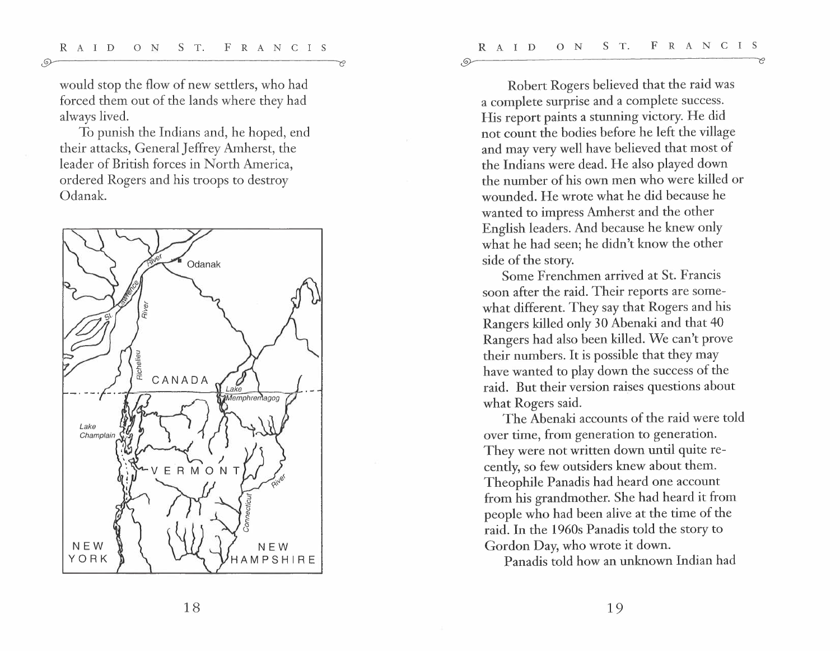$\odot$ 

would stop the flow of new settlers, who had forced them out of the lands where they had always lived.

 $\odot$ 

To punish the Indians and, he hoped, end their attacks, General Jeffrey Amherst, the leader of British forces in North America, ordered Rogers and his troops to destroy Odanak.



Robert Rogers believed that the raid was a complete surprise and a complete success. His report paints a stunning victory. He did not count the bodies before he left the village and may very well have believed that most of the Indians were dead. He also played down the number of his own men who were killed or wounded. He wrote what he did because he wanted to impress Amherst and the other English leaders. And because he knew only what he had seen; he didn't know the other side of the story.

Some Frenchmen arrived at St. Francis soon after the raid. Their reports are somewhat different. They say that Rogers and his Rangers killed only 30 Abenaki and that 40 Rangers had also been killed. We can't prove their numbers. It is possible that they may have wanted to play down the success of the raid. But their version raises questions about what Rogers said.

The Abenaki accounts of the raid were told over time, from generation to generation. They were not written down until quite recently, so few outsiders knew about them. Theophile Panadis had heard one account from his grandmother. She had heard it from people who had been alive at the time of the raid. In the 1 960s Panadis told the story to Gordon Day, who wrote it down.

Panadis told how an unknown Indian had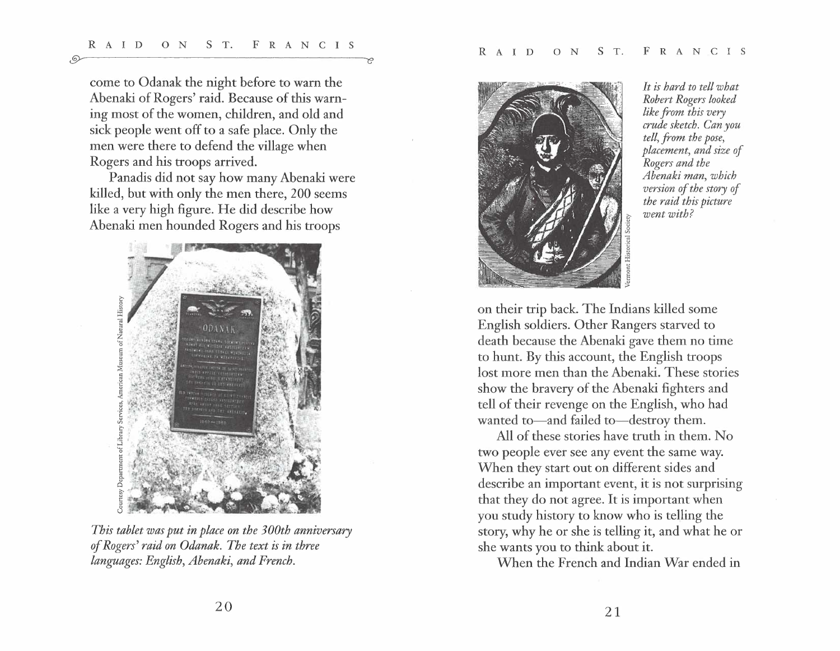$\odot$ 

come to Odanak the night before to warn the Abenaki of Rogers' raid. Because of this warning most of the women, children, and old and sick people went off to a safe place. Only the men were there to defend the village when Rogers and his troops arrived.

Panadis did not say how many Abenaki were killed, but with only the men there, 200 seems like a very high figure. He did describe how Abenaki men hounded Rogers and his troops



*This tablet was put in place on the 3 00th anniversary of Rogers' raid on Odanak. The text is in three languages: English, Abenaki, and French.* 



*It is hard to tell what Robert Rogers looked like from this very crude sketch. Can you tell, from the pose, placement, and size of Rogers and the Abenaki man, which version of the story of the raid this picture*  went with?

on their trip back. The Indians killed some English soldiers. Other Rangers starved to death because the Abenaki gave them no time to hunt. By this account, the English troops lost more men than the Abenaki. These stories show the bravery of the Abenaki fighters and tell of their revenge on the English, who had<br>wanted to—and failed to—destroy them.

All of these stories have truth in them. No two people ever see any event the same way. When they start out on different sides and describe an important event, it is not surprising that they do not agree. It is important when you study history to know who is telling the story, why he or she is telling it, and what he or she wants you to think about it.

When the French and Indian War ended in